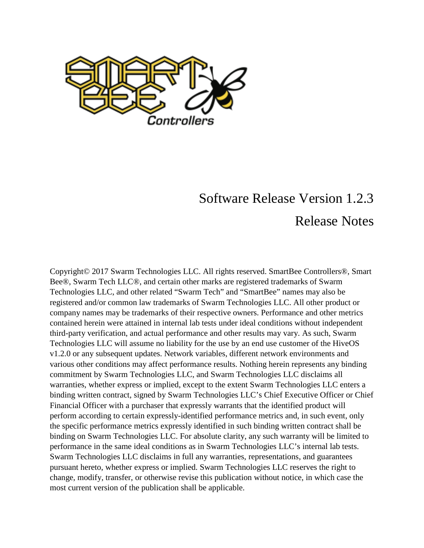

## Software Release Version 1.2.3 Release Notes

Copyright© 2017 Swarm Technologies LLC. All rights reserved. SmartBee Controllers®, Smart Bee®, Swarm Tech LLC®, and certain other marks are registered trademarks of Swarm Technologies LLC, and other related "Swarm Tech" and "SmartBee" names may also be registered and/or common law trademarks of Swarm Technologies LLC. All other product or company names may be trademarks of their respective owners. Performance and other metrics contained herein were attained in internal lab tests under ideal conditions without independent third-party verification, and actual performance and other results may vary. As such, Swarm Technologies LLC will assume no liability for the use by an end use customer of the HiveOS v1.2.0 or any subsequent updates. Network variables, different network environments and various other conditions may affect performance results. Nothing herein represents any binding commitment by Swarm Technologies LLC, and Swarm Technologies LLC disclaims all warranties, whether express or implied, except to the extent Swarm Technologies LLC enters a binding written contract, signed by Swarm Technologies LLC's Chief Executive Officer or Chief Financial Officer with a purchaser that expressly warrants that the identified product will perform according to certain expressly-identified performance metrics and, in such event, only the specific performance metrics expressly identified in such binding written contract shall be binding on Swarm Technologies LLC. For absolute clarity, any such warranty will be limited to performance in the same ideal conditions as in Swarm Technologies LLC's internal lab tests. Swarm Technologies LLC disclaims in full any warranties, representations, and guarantees pursuant hereto, whether express or implied. Swarm Technologies LLC reserves the right to change, modify, transfer, or otherwise revise this publication without notice, in which case the most current version of the publication shall be applicable.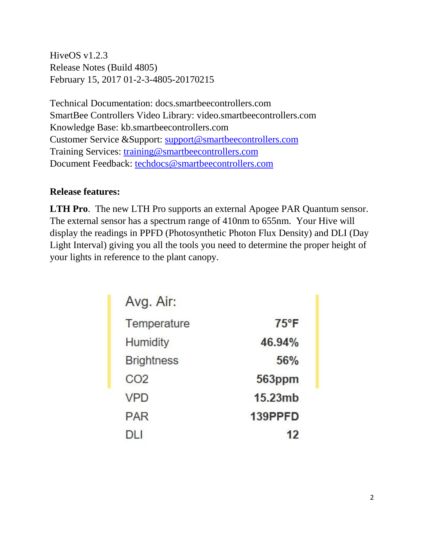HiveOS v1.2.3 Release Notes (Build 4805) February 15, 2017 01-2-3-4805-20170215

Technical Documentation: docs.smartbeecontrollers.com SmartBee Controllers Video Library: video.smartbeecontrollers.com Knowledge Base: kb.smartbeecontrollers.com Customer Service &Support: [support@smartbeecontrollers.com](mailto:support@smartbeecontrollers.com) Training Services: [training@smartbeecontrollers.com](mailto:training@smartbeecontrollers.com) Document Feedback: [techdocs@smartbeecontrollers.com](mailto:techdocs@smartbeecontrollers.com)

## **Release features:**

**LTH Pro**. The new LTH Pro supports an external Apogee PAR Quantum sensor. The external sensor has a spectrum range of 410nm to 655nm. Your Hive will display the readings in PPFD (Photosynthetic Photon Flux Density) and DLI (Day Light Interval) giving you all the tools you need to determine the proper height of your lights in reference to the plant canopy.

| Avg. Air:         |                |
|-------------------|----------------|
| Temperature       | $75^{\circ}$ F |
| <b>Humidity</b>   | 46.94%         |
| <b>Brightness</b> | 56%            |
| CO <sub>2</sub>   | 563ppm         |
| <b>VPD</b>        | 15.23mb        |
| <b>PAR</b>        | 139PPFD        |
| DI I              | 12             |
|                   |                |